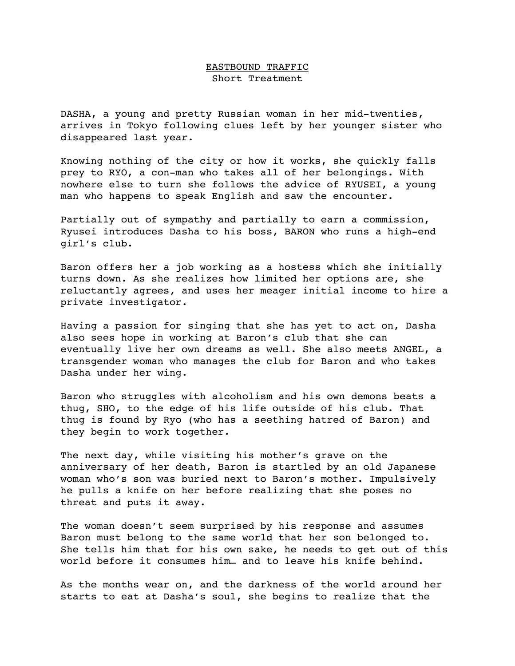## EASTBOUND TRAFFIC Short Treatment

DASHA, a young and pretty Russian woman in her mid-twenties, arrives in Tokyo following clues left by her younger sister who disappeared last year.

Knowing nothing of the city or how it works, she quickly falls prey to RYO, a con-man who takes all of her belongings. With nowhere else to turn she follows the advice of RYUSEI, a young man who happens to speak English and saw the encounter.

Partially out of sympathy and partially to earn a commission, Ryusei introduces Dasha to his boss, BARON who runs a high-end girl's club.

Baron offers her a job working as a hostess which she initially turns down. As she realizes how limited her options are, she reluctantly agrees, and uses her meager initial income to hire a private investigator.

Having a passion for singing that she has yet to act on, Dasha also sees hope in working at Baron's club that she can eventually live her own dreams as well. She also meets ANGEL, a transgender woman who manages the club for Baron and who takes Dasha under her wing.

Baron who struggles with alcoholism and his own demons beats a thug, SHO, to the edge of his life outside of his club. That thug is found by Ryo (who has a seething hatred of Baron) and they begin to work together.

The next day, while visiting his mother's grave on the anniversary of her death, Baron is startled by an old Japanese woman who's son was buried next to Baron's mother. Impulsively he pulls a knife on her before realizing that she poses no threat and puts it away.

The woman doesn't seem surprised by his response and assumes Baron must belong to the same world that her son belonged to. She tells him that for his own sake, he needs to get out of this world before it consumes him… and to leave his knife behind.

As the months wear on, and the darkness of the world around her starts to eat at Dasha's soul, she begins to realize that the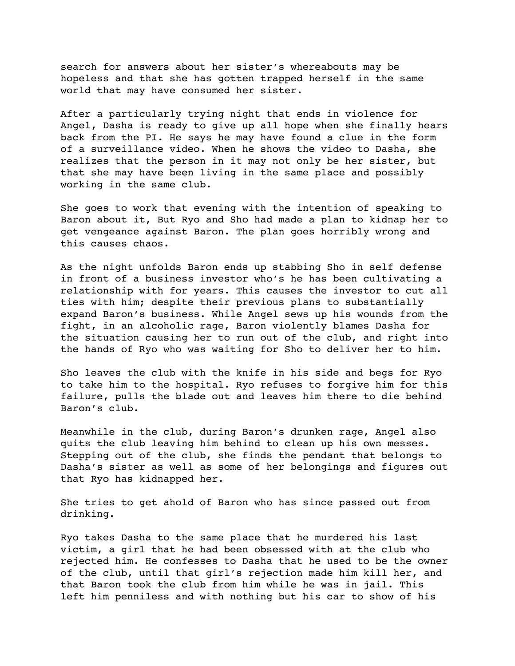search for answers about her sister's whereabouts may be hopeless and that she has gotten trapped herself in the same world that may have consumed her sister.

After a particularly trying night that ends in violence for Angel, Dasha is ready to give up all hope when she finally hears back from the PI. He says he may have found a clue in the form of a surveillance video. When he shows the video to Dasha, she realizes that the person in it may not only be her sister, but that she may have been living in the same place and possibly working in the same club.

She goes to work that evening with the intention of speaking to Baron about it, But Ryo and Sho had made a plan to kidnap her to get vengeance against Baron. The plan goes horribly wrong and this causes chaos.

As the night unfolds Baron ends up stabbing Sho in self defense in front of a business investor who's he has been cultivating a relationship with for years. This causes the investor to cut all ties with him; despite their previous plans to substantially expand Baron's business. While Angel sews up his wounds from the fight, in an alcoholic rage, Baron violently blames Dasha for the situation causing her to run out of the club, and right into the hands of Ryo who was waiting for Sho to deliver her to him.

Sho leaves the club with the knife in his side and begs for Ryo to take him to the hospital. Ryo refuses to forgive him for this failure, pulls the blade out and leaves him there to die behind Baron's club.

Meanwhile in the club, during Baron's drunken rage, Angel also quits the club leaving him behind to clean up his own messes. Stepping out of the club, she finds the pendant that belongs to Dasha's sister as well as some of her belongings and figures out that Ryo has kidnapped her.

She tries to get ahold of Baron who has since passed out from drinking.

Ryo takes Dasha to the same place that he murdered his last victim, a girl that he had been obsessed with at the club who rejected him. He confesses to Dasha that he used to be the owner of the club, until that girl's rejection made him kill her, and that Baron took the club from him while he was in jail. This left him penniless and with nothing but his car to show of his